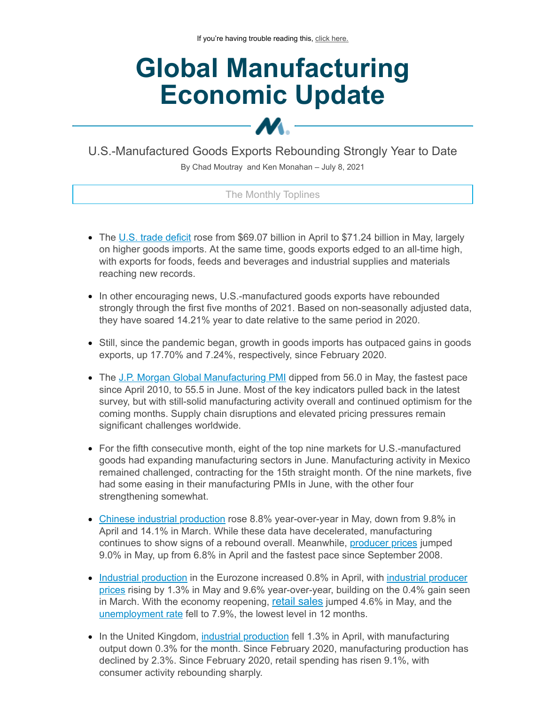# **Global Manufacturing Economic Update**

U.S.-Manufactured Goods Exports Rebounding Strongly Year to Date

M.-

By Chad Moutray and Ken Monahan – July 8, 2021

## The Monthly Toplines

- The U.S. trade [deficit](https://click.email.nam.org/?qs=0827ea5f49416de4622c3bab188760b88fd26ecdec2feec4df4c8796a76c1114f139ea2db67a0b376a11bd26aebabb24725dc019a4028479a3de35f7581e2e99) rose from \$69.07 billion in April to \$71.24 billion in May, largely on higher goods imports. At the same time, goods exports edged to an all-time high, with exports for foods, feeds and beverages and industrial supplies and materials reaching new records.
- In other encouraging news, U.S.-manufactured goods exports have rebounded strongly through the first five months of 2021. Based on non-seasonally adjusted data, they have soared 14.21% year to date relative to the same period in 2020.
- Still, since the pandemic began, growth in goods imports has outpaced gains in goods exports, up 17.70% and 7.24%, respectively, since February 2020.
- The J.P. Morgan Global [Manufacturing](https://click.email.nam.org/?qs=0827ea5f49416de4b7eab39443b9f9d24653b7f4248bde13dd94935d44f33701c2925cf50079ec24cab8b3942ad3815f7a888ec436534c9cdee15c5ba379ae3c) PMI dipped from 56.0 in May, the fastest pace since April 2010, to 55.5 in June. Most of the key indicators pulled back in the latest survey, but with still-solid manufacturing activity overall and continued optimism for the coming months. Supply chain disruptions and elevated pricing pressures remain significant challenges worldwide.
- For the fifth consecutive month, eight of the top nine markets for U.S.-manufactured goods had expanding manufacturing sectors in June. Manufacturing activity in Mexico remained challenged, contracting for the 15th straight month. Of the nine markets, five had some easing in their manufacturing PMIs in June, with the other four strengthening somewhat.
- Chinese industrial [production](https://click.email.nam.org/?qs=0827ea5f49416de4d383efb147122b78cbf4239b4b4246705941847899b22407a6963b06df38f6dcca044bd198e844b5ddcc969893b17f981965bb4e429f0ad4) rose 8.8% year-over-year in May, down from 9.8% in April and 14.1% in March. While these data have decelerated, manufacturing continues to show signs of a rebound overall. Meanwhile, [producer](https://click.email.nam.org/?qs=0827ea5f49416de46972375c6fefe0234522c9ac9ef4f613c36a487542befbfa4133fc8bb37932fa84e65bae61d8c9b6cc4e4fbb288933cfaf20e9f72727f65a) prices jumped 9.0% in May, up from 6.8% in April and the fastest pace since September 2008.
- Industrial [production](https://click.email.nam.org/?qs=0827ea5f49416de4eeeba4c2d7baa1c8fb2d4636f5b5f499df95da28d3329ada346c827bdb47e57167bc98ce3731dc761320b7147e27fbbc1db8c76e50e0dd77) in the Eurozone increased 0.8% in April, with industrial producer prices rising by 1.3% in May and 9.6% [year-over-year,](https://click.email.nam.org/?qs=0827ea5f49416de4522bace5de3a36b62a5f46f395fea4cbe00369bb0160fd3b3f7a98901d597a54af9b6486ef4a9d95b7d993358702d7944f18dd0c059013a7) building on the 0.4% gain seen in March. With the economy reopening, [retail sales](https://click.email.nam.org/?qs=0827ea5f49416de43eeaaae58ca19d32ac4c05484261fdbb371c06693d6ad5bb62378a10839ad1753b923f41436ecf0b708afd64b01ffaaf5dded842d570d685) jumped 4.6% in May, and the [unemployment](https://click.email.nam.org/?qs=0827ea5f49416de412682b6f115f30cf4b64101c4dab57dd7c72a7094b4e91c291d2594657ad77f71af2d4aa10c542089d5c35d88bdbfdd0bf82e2bcf092c001) rate fell to 7.9%, the lowest level in 12 months.
- In the United Kingdom, industrial [production](https://click.email.nam.org/?qs=0827ea5f49416de4c4b36a073969523e52d32755486e243121acee1fdd86772f1713de868f9dc3d99a24c8c7f835712998edaa541f9e692a3fcb0ba616ccfc3f) fell 1.3% in April, with manufacturing output down 0.3% for the month. Since February 2020, manufacturing production has declined by 2.3%. Since February 2020, retail spending has risen 9.1%, with consumer activity rebounding sharply.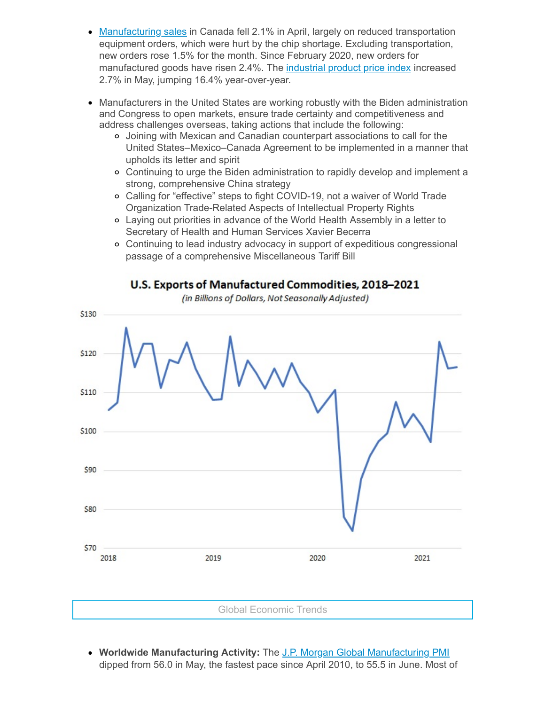- [Manufacturing](https://click.email.nam.org/?qs=0827ea5f49416de4a4eee68bd9c0cfb2f634abcdaf48a5d0797dc0b33f9addeaa69455bcf34b6b1234b7d17e31f2ceeb4081ba244f609c7148b76e4810d7ea66) sales in Canada fell 2.1% in April, largely on reduced transportation equipment orders, which were hurt by the chip shortage. Excluding transportation, new orders rose 1.5% for the month. Since February 2020, new orders for manufactured goods have risen 2.4%. The [industrial](https://click.email.nam.org/?qs=0827ea5f49416de4308f4b2eafa6b20e9da11aafebc767578f5316a3fe867a6a3b2275b847cc2bc98bd404723f789a2c150ea84a866ae680b8e9a98088025034) product price index increased 2.7% in May, jumping 16.4% year-over-year.
- Manufacturers in the United States are working robustly with the Biden administration and Congress to open markets, ensure trade certainty and competitiveness and address challenges overseas, taking actions that include the following:
	- Joining with Mexican and Canadian counterpart associations to call for the United States–Mexico–Canada Agreement to be implemented in a manner that upholds its letter and spirit
	- Continuing to urge the Biden administration to rapidly develop and implement a strong, comprehensive China strategy
	- Calling for "effective" steps to fight COVID-19, not a waiver of World Trade Organization Trade-Related Aspects of Intellectual Property Rights
	- Laying out priorities in advance of the World Health Assembly in a letter to Secretary of Health and Human Services Xavier Becerra
	- Continuing to lead industry advocacy in support of expeditious congressional passage of a comprehensive Miscellaneous Tariff Bill

## U.S. Exports of Manufactured Commodities, 2018-2021

(in Billions of Dollars, Not Seasonally Adjusted)



**Worldwide Manufacturing Activity:** The J.P. Morgan Global [Manufacturing](https://click.email.nam.org/?qs=0827ea5f49416de4b7eab39443b9f9d24653b7f4248bde13dd94935d44f33701c2925cf50079ec24cab8b3942ad3815f7a888ec436534c9cdee15c5ba379ae3c) PMI dipped from 56.0 in May, the fastest pace since April 2010, to 55.5 in June. Most of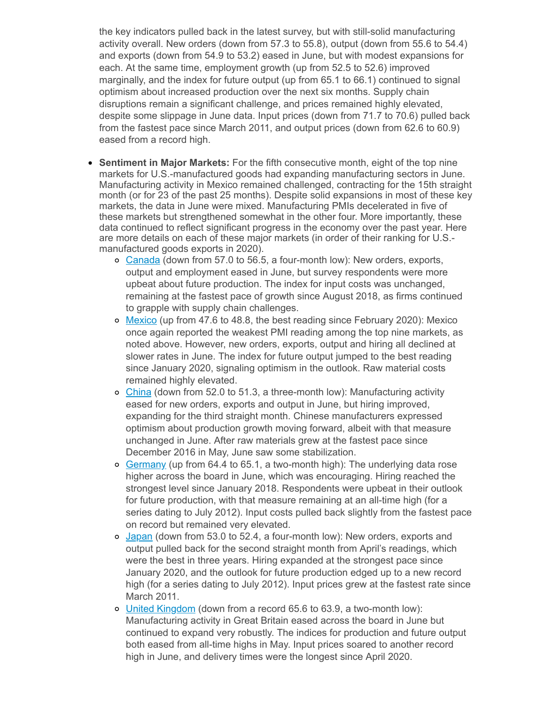the key indicators pulled back in the latest survey, but with still-solid manufacturing activity overall. New orders (down from 57.3 to 55.8), output (down from 55.6 to 54.4) and exports (down from 54.9 to 53.2) eased in June, but with modest expansions for each. At the same time, employment growth (up from 52.5 to 52.6) improved marginally, and the index for future output (up from 65.1 to 66.1) continued to signal optimism about increased production over the next six months. Supply chain disruptions remain a significant challenge, and prices remained highly elevated, despite some slippage in June data. Input prices (down from 71.7 to 70.6) pulled back from the fastest pace since March 2011, and output prices (down from 62.6 to 60.9) eased from a record high.

- **Sentiment in Major Markets:** For the fifth consecutive month, eight of the top nine markets for U.S.-manufactured goods had expanding manufacturing sectors in June. Manufacturing activity in Mexico remained challenged, contracting for the 15th straight month (or for 23 of the past 25 months). Despite solid expansions in most of these key markets, the data in June were mixed. Manufacturing PMIs decelerated in five of these markets but strengthened somewhat in the other four. More importantly, these data continued to reflect significant progress in the economy over the past year. Here are more details on each of these major markets (in order of their ranking for U.S. manufactured goods exports in 2020).
	- o [Canada](https://click.email.nam.org/?qs=0827ea5f49416de49c96c99c5764c21f51ff367eddb67e0464210324f439bee85fb460c12a42d0c5676a52e55ce614845f62f534dda3b7a2797584a3daf87b47) (down from 57.0 to 56.5, a four-month low): New orders, exports, output and employment eased in June, but survey respondents were more upbeat about future production. The index for input costs was unchanged, remaining at the fastest pace of growth since August 2018, as firms continued to grapple with supply chain challenges.
	- o [Mexico](https://click.email.nam.org/?qs=0827ea5f49416de434c6d7e6092f4c2c6ad69028d134928b40234b17055a7be436675d19186489ad6500c086ed069f89babd3b900119c0524517d4049b1d77b3) (up from 47.6 to 48.8, the best reading since February 2020): Mexico once again reported the weakest PMI reading among the top nine markets, as noted above. However, new orders, exports, output and hiring all declined at slower rates in June. The index for future output jumped to the best reading since January 2020, signaling optimism in the outlook. Raw material costs remained highly elevated.
	- $\circ$  [China](https://click.email.nam.org/?qs=0827ea5f49416de43240c0bd10d7e5f6a0a582b5326c266eddcad339c4f409036a36b956bdf1a36d531d9fa69e7c627cd7baafe72fcd22def1eddb61ece86a2e) (down from 52.0 to 51.3, a three-month low): Manufacturing activity eased for new orders, exports and output in June, but hiring improved, expanding for the third straight month. Chinese manufacturers expressed optimism about production growth moving forward, albeit with that measure unchanged in June. After raw materials grew at the fastest pace since December 2016 in May, June saw some stabilization.
	- o [Germany](https://click.email.nam.org/?qs=0827ea5f49416de4db927c44fe7b70335d440c2831ffdb56a915a5a81d0f1764a7358dc7166fd1834a85d9c1387bfcd53fa47e2aaaf19839cf8a1acf1fcbf7c6) (up from 64.4 to 65.1, a two-month high): The underlying data rose higher across the board in June, which was encouraging. Hiring reached the strongest level since January 2018. Respondents were upbeat in their outlook for future production, with that measure remaining at an all-time high (for a series dating to July 2012). Input costs pulled back slightly from the fastest pace on record but remained very elevated.
	- o [Japan](https://click.email.nam.org/?qs=0827ea5f49416de4f8b77027d51e5560aa61b53dac440fea00aa8b40cd2b5422808c80ce0448f6d40d81073957765af2b7b37677381aa005a63a9b8445caad84) (down from 53.0 to 52.4, a four-month low): New orders, exports and output pulled back for the second straight month from April's readings, which were the best in three years. Hiring expanded at the strongest pace since January 2020, and the outlook for future production edged up to a new record high (for a series dating to July 2012). Input prices grew at the fastest rate since March 2011.
	- United [Kingdom](https://click.email.nam.org/?qs=038c87e2a291dad989a09a906f9730ff702207f66a363a4fae9bf1003f4ecdd880a3dec2cb892ec4bed6580a62683045d2092d0527b03a80951fbf2c2db3b630) (down from a record 65.6 to 63.9, a two-month low): Manufacturing activity in Great Britain eased across the board in June but continued to expand very robustly. The indices for production and future output both eased from all-time highs in May. Input prices soared to another record high in June, and delivery times were the longest since April 2020.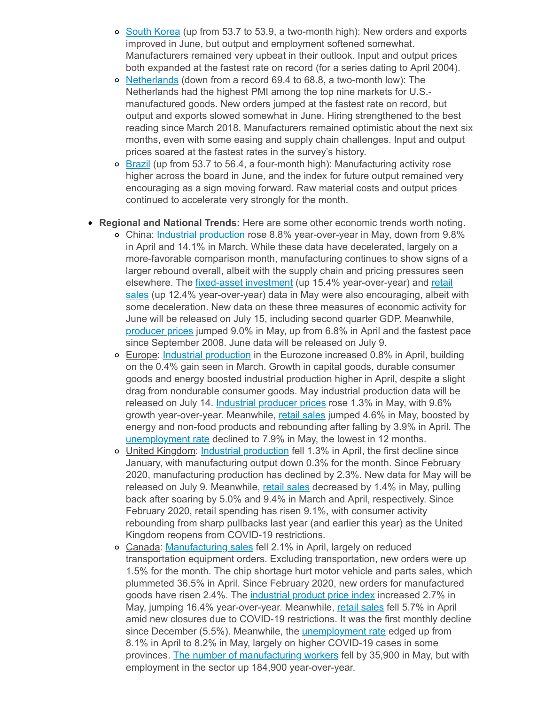- o South [Korea](https://click.email.nam.org/?qs=038c87e2a291dad9df5c1bcb02af94affbfdf3f62589150a8d3a5ef70402aa2b24a6333e87203d6e48cac6560b78b83c26fc7dadcc999d402b8e7e7c582a03ed) (up from 53.7 to 53.9, a two-month high): New orders and exports improved in June, but output and employment softened somewhat. Manufacturers remained very upbeat in their outlook. Input and output prices both expanded at the fastest rate on record (for a series dating to April 2004).
- o [Netherlands](https://click.email.nam.org/?qs=038c87e2a291dad911d6401a4d8c02f42f7aa4e972ff8ea29dbcf5d4464a0a27b6e7a94aef6cfdcefc883cc8a2c424fd9f814851e55f1b92f91c13eabeb43bba) (down from a record 69.4 to 68.8, a two-month low): The Netherlands had the highest PMI among the top nine markets for U.S. manufactured goods. New orders jumped at the fastest rate on record, but output and exports slowed somewhat in June. Hiring strengthened to the best reading since March 2018. Manufacturers remained optimistic about the next six months, even with some easing and supply chain challenges. Input and output prices soared at the fastest rates in the survey's history.
- $\circ$  [Brazil](https://click.email.nam.org/?qs=038c87e2a291dad9c94add359b217ad9ab4f28a8dc22f7b94c7b2e504bfd7f6822165ab5f6f39cbddfdef5b9d03c79b1e82bb44b512a5f8d70adba3230eff98d) (up from 53.7 to 56.4, a four-month high): Manufacturing activity rose higher across the board in June, and the index for future output remained very encouraging as a sign moving forward. Raw material costs and output prices continued to accelerate very strongly for the month.
- **Regional and National Trends:** Here are some other economic trends worth noting.
	- o China: Industrial [production](https://click.email.nam.org/?qs=0827ea5f49416de4d383efb147122b78cbf4239b4b4246705941847899b22407a6963b06df38f6dcca044bd198e844b5ddcc969893b17f981965bb4e429f0ad4) rose 8.8% year-over-year in May, down from 9.8% in April and 14.1% in March. While these data have decelerated, largely on a more-favorable comparison month, manufacturing continues to show signs of a larger rebound overall, albeit with the supply chain and pricing pressures seen elsewhere. The *fixed-asset [investment](https://click.email.nam.org/?qs=038c87e2a291dad9e21cc4a414dc53ed6d907f8d13bb62ec718a47f4904ced7a030ae81fd45e5a5d7573dba8021b4b6ae932ebb601e1c5e241a0a3d4148b1822)* (up 15.4% [year-over-year\)](https://click.email.nam.org/?qs=038c87e2a291dad9e9452a863529c9a2ceffa0b989fa54a43b325ca83f2cf7acc7eb28f5861d60954a58861ce7516480994f6be0a04c6e2df7c3cd1cd959e225) and retail sales (up 12.4% year-over-year) data in May were also encouraging, albeit with some deceleration. New data on these three measures of economic activity for June will be released on July 15, including second quarter GDP. Meanwhile, [producer](https://click.email.nam.org/?qs=0827ea5f49416de46972375c6fefe0234522c9ac9ef4f613c36a487542befbfa4133fc8bb37932fa84e65bae61d8c9b6cc4e4fbb288933cfaf20e9f72727f65a) prices jumped 9.0% in May, up from 6.8% in April and the fastest pace since September 2008. June data will be released on July 9.
	- Europe: Industrial [production](https://click.email.nam.org/?qs=0827ea5f49416de4eeeba4c2d7baa1c8fb2d4636f5b5f499df95da28d3329ada346c827bdb47e57167bc98ce3731dc761320b7147e27fbbc1db8c76e50e0dd77) in the Eurozone increased 0.8% in April, building on the 0.4% gain seen in March. Growth in capital goods, durable consumer goods and energy boosted industrial production higher in April, despite a slight drag from nondurable consumer goods. May industrial production data will be released on July 14. [Industrial](https://click.email.nam.org/?qs=0827ea5f49416de4522bace5de3a36b62a5f46f395fea4cbe00369bb0160fd3b3f7a98901d597a54af9b6486ef4a9d95b7d993358702d7944f18dd0c059013a7) producer prices rose 1.3% in May, with 9.6% growth year-over-year. Meanwhile, retail [sales](https://click.email.nam.org/?qs=0827ea5f49416de43eeaaae58ca19d32ac4c05484261fdbb371c06693d6ad5bb62378a10839ad1753b923f41436ecf0b708afd64b01ffaaf5dded842d570d685) jumped 4.6% in May, boosted by energy and non-food products and rebounding after falling by 3.9% in April. The [unemployment](https://click.email.nam.org/?qs=0827ea5f49416de412682b6f115f30cf4b64101c4dab57dd7c72a7094b4e91c291d2594657ad77f71af2d4aa10c542089d5c35d88bdbfdd0bf82e2bcf092c001) rate declined to 7.9% in May, the lowest in 12 months.
	- United Kingdom: Industrial [production](https://click.email.nam.org/?qs=0827ea5f49416de4c4b36a073969523e52d32755486e243121acee1fdd86772f1713de868f9dc3d99a24c8c7f835712998edaa541f9e692a3fcb0ba616ccfc3f) fell 1.3% in April, the first decline since January, with manufacturing output down 0.3% for the month. Since February 2020, manufacturing production has declined by 2.3%. New data for May will be released on July 9. Meanwhile, retail [sales](https://click.email.nam.org/?qs=038c87e2a291dad925c0f879e5358e4f79f70d0d04803a3000b6ae7ebccb9b76a1fb060fa920b964cdc1a892541f1662777b1b644b90e7dc91ac468fe55747bd) decreased by 1.4% in May, pulling back after soaring by 5.0% and 9.4% in March and April, respectively. Since February 2020, retail spending has risen 9.1%, with consumer activity rebounding from sharp pullbacks last year (and earlier this year) as the United Kingdom reopens from COVID-19 restrictions.
	- Canada: [Manufacturing](https://click.email.nam.org/?qs=0827ea5f49416de4a4eee68bd9c0cfb2f634abcdaf48a5d0797dc0b33f9addeaa69455bcf34b6b1234b7d17e31f2ceeb4081ba244f609c7148b76e4810d7ea66) sales fell 2.1% in April, largely on reduced transportation equipment orders. Excluding transportation, new orders were up 1.5% for the month. The chip shortage hurt motor vehicle and parts sales, which plummeted 36.5% in April. Since February 2020, new orders for manufactured goods have risen 2.4%. The [industrial](https://click.email.nam.org/?qs=0827ea5f49416de4308f4b2eafa6b20e9da11aafebc767578f5316a3fe867a6a3b2275b847cc2bc98bd404723f789a2c150ea84a866ae680b8e9a98088025034) product price index increased 2.7% in May, jumping 16.4% year-over-year. Meanwhile, retail [sales](https://click.email.nam.org/?qs=038c87e2a291dad973a8e7d95c9c0b2c5aab9fae915eb2d294bb6c73d4bfe67c607365626aede7017097973ec6e68b69fe61f5183d8b8d7b07f1e08d21eafb3d) fell 5.7% in April amid new closures due to COVID-19 restrictions. It was the first monthly decline since December (5.5%). Meanwhile, the *[unemployment](https://click.email.nam.org/?qs=038c87e2a291dad9b97ae91b0514905051795ad8c8120d4265441681931cc306e93f16cd81af8192e244fa275e2f0c780c8390e215adad28dac5944dfb85138e) rate* edged up from 8.1% in April to 8.2% in May, largely on higher COVID-19 cases in some provinces. The number of [manufacturing](https://click.email.nam.org/?qs=038c87e2a291dad9899464dc66db705f842b260ca5b25b36c0397c5db08f9ee050a7a8483d3c3ce59f018483d6455135fdca3d5b1f72d91f4ba29c4b06714c0c) workers fell by 35,900 in May, but with employment in the sector up 184,900 year-over-year.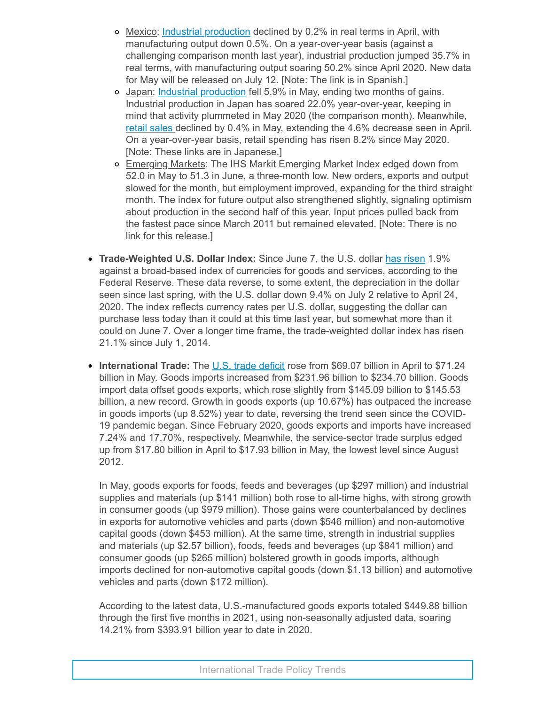- Mexico: Industrial [production](https://click.email.nam.org/?qs=038c87e2a291dad92fef7baa6a8171691b800637ee33909ff1bae9534ab2a70686294b176736247bc5a9ed6e21472d286e98e6f9b92a7bb92f52727687da13a3) declined by 0.2% in real terms in April, with manufacturing output down 0.5%. On a year-over-year basis (against a challenging comparison month last year), industrial production jumped 35.7% in real terms, with manufacturing output soaring 50.2% since April 2020. New data for May will be released on July 12. [Note: The link is in Spanish.]
- o Japan: Industrial [production](https://click.email.nam.org/?qs=038c87e2a291dad923a731e0e8546cda8a24b84e3054ad8d96dc0a09267f55170d67699b018233e21e2476580569b4400b340abf9abe8e29800bcf83eba20c20) fell 5.9% in May, ending two months of gains. Industrial production in Japan has soared 22.0% year-over-year, keeping in mind that activity plummeted in May 2020 (the comparison month). Meanwhile, retail [sales](https://click.email.nam.org/?qs=038c87e2a291dad9ec8a0e47f6f5822966028885dd658cea6cc21bee37a10d5f192eeb6450ce63d09f836cab7b9f9ca594dab5a7cd2695020a84a856b83da939) declined by 0.4% in May, extending the 4.6% decrease seen in April. On a year-over-year basis, retail spending has risen 8.2% since May 2020. [Note: These links are in Japanese.]
- o Emerging Markets: The IHS Markit Emerging Market Index edged down from 52.0 in May to 51.3 in June, a three-month low. New orders, exports and output slowed for the month, but employment improved, expanding for the third straight month. The index for future output also strengthened slightly, signaling optimism about production in the second half of this year. Input prices pulled back from the fastest pace since March 2011 but remained elevated. [Note: There is no link for this release.]
- **Trade-Weighted U.S. Dollar Index:** Since June 7, the U.S. dollar has [risen](https://click.email.nam.org/?qs=038c87e2a291dad983aac9dd12263d41d54762fcd91df7cd82b4e13523157f1ee85657a6b9b7c2baeac3de93cd81900acea0c3e9f79fd60dbbd4438d283154c4) 1.9% against a broad-based index of currencies for goods and services, according to the Federal Reserve. These data reverse, to some extent, the depreciation in the dollar seen since last spring, with the U.S. dollar down 9.4% on July 2 relative to April 24, 2020. The index reflects currency rates per U.S. dollar, suggesting the dollar can purchase less today than it could at this time last year, but somewhat more than it could on June 7. Over a longer time frame, the trade-weighted dollar index has risen 21.1% since July 1, 2014.
- **International Trade:** The U.S. trade [deficit](https://click.email.nam.org/?qs=0827ea5f49416de4622c3bab188760b88fd26ecdec2feec4df4c8796a76c1114f139ea2db67a0b376a11bd26aebabb24725dc019a4028479a3de35f7581e2e99) rose from \$69.07 billion in April to \$71.24 billion in May. Goods imports increased from \$231.96 billion to \$234.70 billion. Goods import data offset goods exports, which rose slightly from \$145.09 billion to \$145.53 billion, a new record. Growth in goods exports (up 10.67%) has outpaced the increase in goods imports (up 8.52%) year to date, reversing the trend seen since the COVID-19 pandemic began. Since February 2020, goods exports and imports have increased 7.24% and 17.70%, respectively. Meanwhile, the service-sector trade surplus edged up from \$17.80 billion in April to \$17.93 billion in May, the lowest level since August 2012.

In May, goods exports for foods, feeds and beverages (up \$297 million) and industrial supplies and materials (up \$141 million) both rose to all-time highs, with strong growth in consumer goods (up \$979 million). Those gains were counterbalanced by declines in exports for automotive vehicles and parts (down \$546 million) and non-automotive capital goods (down \$453 million). At the same time, strength in industrial supplies and materials (up \$2.57 billion), foods, feeds and beverages (up \$841 million) and consumer goods (up \$265 million) bolstered growth in goods imports, although imports declined for non-automotive capital goods (down \$1.13 billion) and automotive vehicles and parts (down \$172 million).

According to the latest data, U.S.-manufactured goods exports totaled \$449.88 billion through the first five months in 2021, using non-seasonally adjusted data, soaring 14.21% from \$393.91 billion year to date in 2020.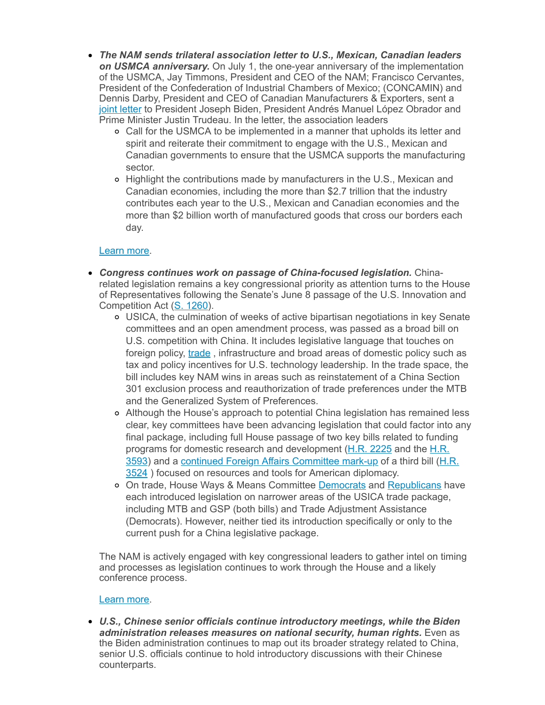- *The NAM sends trilateral association letter to U.S., Mexican, Canadian leaders on USMCA anniversary.* On July 1, the one-year anniversary of the implementation of the USMCA, Jay Timmons, President and CEO of the NAM; Francisco Cervantes, President of the Confederation of Industrial Chambers of Mexico; (CONCAMIN) and Dennis Darby, President and CEO of Canadian Manufacturers & Exporters, sent a joint [letter](https://click.email.nam.org/?qs=038c87e2a291dad90bc06986f5a32fec7f9c3872bed6c24fc8c5aab74b12aa53441f87935d88aa795c1a46a42e0c29dda2e7ecb87cf41aeed84c0a9723a6d4bc) to President Joseph Biden, President Andrés Manuel López Obrador and Prime Minister Justin Trudeau. In the letter, the association leaders
	- Call for the USMCA to be implemented in a manner that upholds its letter and spirit and reiterate their commitment to engage with the U.S., Mexican and Canadian governments to ensure that the USMCA supports the manufacturing sector.
	- o Highlight the contributions made by manufacturers in the U.S., Mexican and Canadian economies, including the more than \$2.7 trillion that the industry contributes each year to the U.S., Mexican and Canadian economies and the more than \$2 billion worth of manufactured goods that cross our borders each day.

#### [Learn](mailto:kmonahan@nam.org;msierra@nam.org?subject=USMCA) more.

- *Congress continues work on passage of China-focused legislation.* Chinarelated legislation remains a key congressional priority as attention turns to the House of Representatives following the Senate's June 8 passage of the U.S. Innovation and Competition Act (S. [1260\)](https://click.email.nam.org/?qs=038c87e2a291dad930e90e28180cdcbf814d098e61496338da65920e4069115f1e99435e8b1a8b64083005a833f3bda7970ef9efb2e1d7e14888580363de2bce).
	- USICA, the culmination of weeks of active bipartisan negotiations in key Senate committees and an open amendment process, was passed as a broad bill on U.S. competition with China. It includes legislative language that touches on foreign policy, [trade](https://click.email.nam.org/?qs=038c87e2a291dad96070e029731917580085d10dcc118cfc8b178408f904d14d805766676f5632dee95555acc7ddcd08219e4e3f8bc83ea33dc2fdd661e56135), infrastructure and broad areas of domestic policy such as tax and policy incentives for U.S. technology leadership. In the trade space, the bill includes key NAM wins in areas such as reinstatement of a China Section 301 exclusion process and reauthorization of trade preferences under the MTB and the Generalized System of Preferences.
	- Although the House's approach to potential China legislation has remained less clear, key committees have been advancing legislation that could factor into any final package, including full House passage of two key bills related to funding programs for domestic research and [development](https://click.email.nam.org/?qs=038c87e2a291dad9da91d41787fd3342d704f838c66ac9ac9cdf8d386a7f040fd4e345c1560fa2e1d37d526da254c4bb318563d76d8aea5f906e155a580cdc8c) (H.R. [2225](https://click.email.nam.org/?qs=038c87e2a291dad9b161ccf19376ba9f5ae13adababb2e4ebc9e36433fcbed8827b0d4b92da1afa9f0ff94d4f763a499a733083f9b9ebb73a14dd285be3ca278) and the H.R. 3593) and a continued Foreign Affairs [Committee](https://click.email.nam.org/?qs=038c87e2a291dad9c1c6018e6c7fd2f988f97d4ec3468368d78f6503a402d29b96318cdf3bcc640ed22877eed93b02ac184dea981c3793000791c49196537e79) mark-up of a third bill (H.R. 3524 ) focused on resources and tools for American diplomacy.
	- o On trade, House Ways & Means Committee [Democrats](https://click.email.nam.org/?qs=038c87e2a291dad9b54ea8ceba8967f66ff83ef9a8ea0f01cc8ca163bddc8b069a8a4ec6db47ada1bcd30432e9134c3b1d171a3b145c96af1e5ab1ce007b0923) and [Republicans](https://click.email.nam.org/?qs=038c87e2a291dad9f4f495296830111b6cbea50c61a989d72a609d3f981f86eea0eea6dc8961c2e127b53b02183d69f22d70bc1aefa49d91d9836a9fabad1fe6) have each introduced legislation on narrower areas of the USICA trade package, including MTB and GSP (both bills) and Trade Adjustment Assistance (Democrats). However, neither tied its introduction specifically or only to the current push for a China legislative package.

The NAM is actively engaged with key congressional leaders to gather intel on timing and processes as legislation continues to work through the House and a likely conference process.

#### [Learn](mailto:kmonahan@nam.org;rong@nam.org;sbeaver@nam.org?subject=China%20Legislation) more.

*U.S., Chinese senior officials continue introductory meetings, while the Biden administration releases measures on national security, human rights.* Even as the Biden administration continues to map out its broader strategy related to China, senior U.S. officials continue to hold introductory discussions with their Chinese counterparts.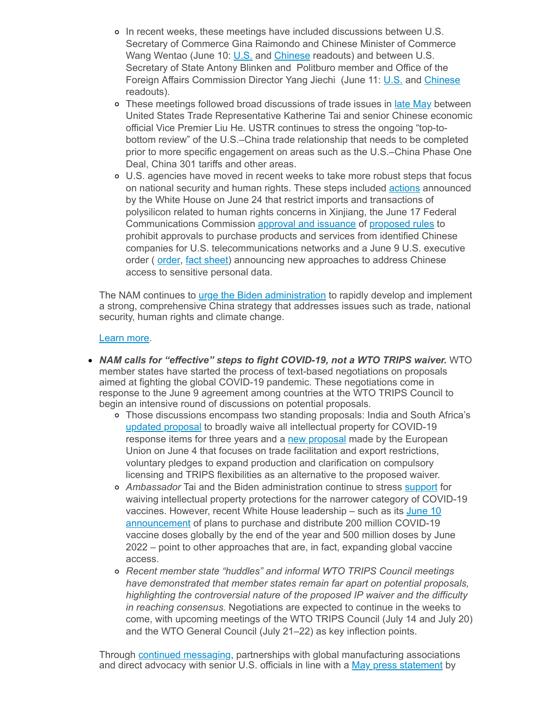- o In recent weeks, these meetings have included discussions between U.S. Secretary of Commerce Gina Raimondo and Chinese Minister of Commerce Wang Wentao (June 10: [U.S.](https://click.email.nam.org/?qs=038c87e2a291dad93333448beab746bb47954a66a06cdd4afa3fec15e70c4b072383e7f1c46864c69cc9be9bf00e31fb3b0017e3158b2854c185032a0c6d868c) and [Chinese](https://click.email.nam.org/?qs=038c87e2a291dad9e4d8a7e8d7d18ec909cdd24abb3e60a335e5c1cb344f5a1190232efda847d1b48f8a9d64d7e756fd6cd68bf13ef388cdd9ec54d60d212c39) readouts) and between U.S. Secretary of State Antony Blinken and Politburo member and Office of the Foreign Affairs Commission Director Yang Jiechi (June 11: [U.S.](https://click.email.nam.org/?qs=038c87e2a291dad9129620cc609502f6068ffc8f7d68aee54c95c6dc89c2765734ce55707aef17acc774716821e51afc86166278e1efbf47e8b10cab0efb9d5f) and [Chinese](https://click.email.nam.org/?qs=038c87e2a291dad9d8a3d49821ce04c55e5713fb0e7257e3887c079578d4d553b74c3cc9f49b70c60355723c0beb59324d96de06371b79bbbd55076cf1836a1a) readouts).
- o These meetings followed broad discussions of trade issues in late [May](https://click.email.nam.org/?qs=038c87e2a291dad97e94c696e39ee7f35fff1a1b71d32c1037ddb09e0f9e128854a4816160f897f51bf79e61c41c0834b7fd7115f312e1b7a66a802a9d30d30d) between United States Trade Representative Katherine Tai and senior Chinese economic official Vice Premier Liu He. USTR continues to stress the ongoing "top-tobottom review" of the U.S.–China trade relationship that needs to be completed prior to more specific engagement on areas such as the U.S.–China Phase One Deal, China 301 tariffs and other areas.
- U.S. agencies have moved in recent weeks to take more robust steps that focus on national security and human rights. These steps included [actions](https://click.email.nam.org/?qs=038c87e2a291dad969c7f2b455e39e34a0c710069f2856f7778f486e42937f7aac1a95b401411af62d482e2db674527142d64b2a454c22118a8cfe16d9a8052f) announced by the White House on June 24 that restrict imports and transactions of polysilicon related to human rights concerns in Xinjiang, the June 17 Federal Communications Commission approval and [issuance](https://click.email.nam.org/?qs=038c87e2a291dad917225b293d7f6d7952e29e68e5c9b67e6ee576ca5396d3e7b8fd11ed253a07748fbbe86f9600a412214284657cbe4ec07a886a595e0d8195) of [proposed](https://click.email.nam.org/?qs=038c87e2a291dad91b126937d6d95770ae890fde27d96645a9994eb666f620b5c9b3aef3be671ea7b36c00c97bd2a87ec6d5d7d3d3a28ff013a19bd3ca9f7f9a) rules to prohibit approvals to purchase products and services from identified Chinese companies for U.S. telecommunications networks and a June 9 U.S. executive [order](https://click.email.nam.org/?qs=038c87e2a291dad919eefeb65549a40760594b1a74f4581230c6b1dbf13363ab50fb04a7945ce5f933d2a57b73253dcf8683c14fdf156b8d0330cf6bc2215eeb) ( order, fact [sheet](https://click.email.nam.org/?qs=038c87e2a291dad9f8a60d7c3efc334e619fe9a1f6703532d0f02bda5c2b16af5ad6c76afd1716056667b401f078d7130bbca907576228685d4567b132c58537)) announcing new approaches to address Chinese access to sensitive personal data.

The NAM continues to *urge the Biden [administration](https://click.email.nam.org/?qs=038c87e2a291dad94f1afe72ab61f1fd3af7b2c014b46ea2d4aaab442ea661be29ee02d8a78bc84eb01f358ff6db694dd28b7986dac743beb5e56b640da7fa12)* to rapidly develop and implement a strong, comprehensive China strategy that addresses issues such as trade, national security, human rights and climate change.

#### [Learn](mailto:rong@nam.org?subject=China) more.

- *NAM calls for "effective" steps to fight COVID-19, not a WTO TRIPS waiver.* WTO member states have started the process of text-based negotiations on proposals aimed at fighting the global COVID-19 pandemic. These negotiations come in response to the June 9 agreement among countries at the WTO TRIPS Council to begin an intensive round of discussions on potential proposals.
	- Those discussions encompass two standing proposals: India and South Africa's updated [proposal](https://click.email.nam.org/?qs=038c87e2a291dad9582b0e2e8650bb4e16726f3385e1d757afa248e5493e14a2b12916e178ab228eb68826da29c748bb90c6a0f0b59bf7649129da82d5f73645) to broadly waive all intellectual property for COVID-19 response items for three years and a new [proposal](https://click.email.nam.org/?qs=038c87e2a291dad94be97fdcbae8335aa9f7d33b47b7e60943dfcbcfd4702fbd7f89f4cfa784be89c779f54923bfc7cdc6c22eea7a89a4aa632fc4113a350c75) made by the European Union on June 4 that focuses on trade facilitation and export restrictions, voluntary pledges to expand production and clarification on compulsory licensing and TRIPS flexibilities as an alternative to the proposed waiver.
	- *Ambassador* Tai and the Biden administration continue to stress [support](https://click.email.nam.org/?qs=038c87e2a291dad9d73f7908152513610fe77da531276b819b2a34551707709dacf67aab57043c531fb35948bce939f88f9fa7a1188ef8378e0ec5baa56b0441) for waiving intellectual property protections for the narrower category of COVID-19 vaccines. However, recent White House leadership – such as its June 10 [announcement](https://click.email.nam.org/?qs=038c87e2a291dad9ee64f2c78cf7d08f7e4ad2d27e6dc1ebc9663d1d9c62678829029f8de1fff06c3bc87d6f7c3d81c051d2b3c8ad3f2dc30afbb239d3474f73) of plans to purchase and distribute 200 million COVID-19 vaccine doses globally by the end of the year and 500 million doses by June 2022 – point to other approaches that are, in fact, expanding global vaccine access.
	- *Recent member state "huddles" and informal WTO TRIPS Council meetings have demonstrated that member states remain far apart on potential proposals, highlighting the controversial nature of the proposed IP waiver and the difficulty in reaching consensus.* Negotiations are expected to continue in the weeks to come, with upcoming meetings of the WTO TRIPS Council (July 14 and July 20) and the WTO General Council (July 21–22) as key inflection points.

Through continued [messaging](https://click.email.nam.org/?qs=038c87e2a291dad92fa411c5cc8ecaa8696d5c1480e6f7d025f7615c762e7ff5ed6a8622fefd3a21f436673c59a9a52011e48d9de4d2d3e67e575e7e8a99e158), partnerships with global manufacturing associations and direct advocacy with senior U.S. officials in line with a May press [statement](https://click.email.nam.org/?qs=038c87e2a291dad9806c8fb9ac10a9d855285ed4ce4650d4f430be49fb02273b0e080dfd73aef55d2a073e4624fa6c5bdd0b59a5cb496748ebb83316e0bf35b2) by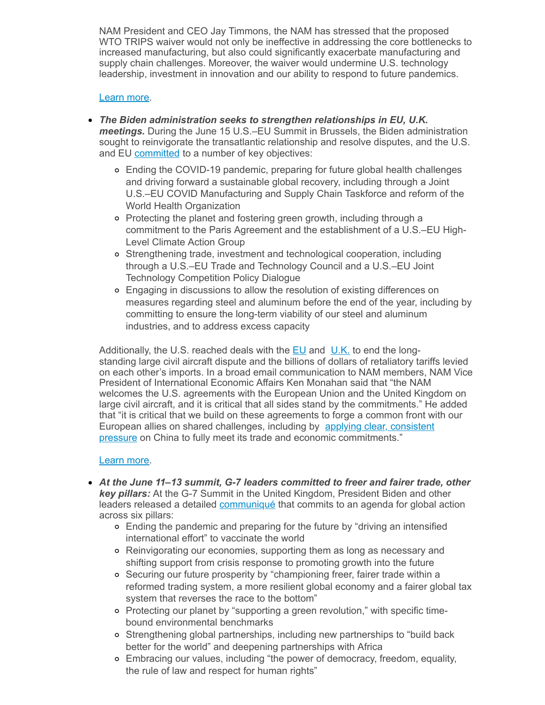NAM President and CEO Jay Timmons, the NAM has stressed that the proposed WTO TRIPS waiver would not only be ineffective in addressing the core bottlenecks to increased manufacturing, but also could significantly exacerbate manufacturing and supply chain challenges. Moreover, the waiver would undermine U.S. technology leadership, investment in innovation and our ability to respond to future pandemics.

#### [Learn](mailto:kmonahan@nam.org;rong@nam.org;msierra@nam.org?subject=WTO-TRIPS) more.

- *The Biden administration seeks to strengthen relationships in EU, U.K. meetings.* During the June 15 U.S.–EU Summit in Brussels, the Biden administration sought to reinvigorate the transatlantic relationship and resolve disputes, and the U.S. and EU [committed](https://click.email.nam.org/?qs=038c87e2a291dad9024da148b70d9062b003b9022d7173654a033faf59646ee27f142ed15a62e8fd518323fcfc09ae5564a9fa96d598843e026632bdc461fbcb) to a number of key objectives:
	- Ending the COVID-19 pandemic, preparing for future global health challenges and driving forward a sustainable global recovery, including through a Joint U.S.–EU COVID Manufacturing and Supply Chain Taskforce and reform of the World Health Organization
	- Protecting the planet and fostering green growth, including through a commitment to the Paris Agreement and the establishment of a U.S.–EU High-Level Climate Action Group
	- Strengthening trade, investment and technological cooperation, including through a U.S.–EU Trade and Technology Council and a U.S.–EU Joint Technology Competition Policy Dialogue
	- Engaging in discussions to allow the resolution of existing differences on measures regarding steel and aluminum before the end of the year, including by committing to ensure the long-term viability of our steel and aluminum industries, and to address excess capacity

Additionally, the U.S. reached deals with the  $E_{\text{U}}$  and  $U_{\text{U}}$  to end the longstanding large civil aircraft dispute and the billions of dollars of retaliatory tariffs levied on each other's imports. In a broad email communication to NAM members, NAM Vice President of International Economic Affairs Ken Monahan said that "the NAM welcomes the U.S. agreements with the European Union and the United Kingdom on large civil aircraft, and it is critical that all sides stand by the commitments." He added that "it is critical that we build on these agreements to forge a common front with our European allies on shared challenges, including by applying clear, consistent pressure on China to fully meet its trade and economic [commitments."](https://click.email.nam.org/?qs=038c87e2a291dad9ece87f04c2480ced2a29950f80d68e10a61364b2f8d54956b8ef5950e619f4e3616dcf4b7a2b59c7af6aff6bbb947de09acba7d84537f6ca)

#### [Learn](mailto:msierra@nam.org?subject=U.S.-EU/UK%20Summits) more.

- *At the June 11–13 summit, G-7 leaders committed to freer and fairer trade, other key pillars:* At the G-7 Summit in the United Kingdom, President Biden and other leaders released a detailed [communiqué](https://click.email.nam.org/?qs=038c87e2a291dad9fa7778475a23b7d36323d982f27b2aa815cff3ed5beb5572ab8c621429e5f966c9cb2ae165419b50c04b83618dc307997e8cfae870dcdeaf) that commits to an agenda for global action across six pillars:
	- Ending the pandemic and preparing for the future by "driving an intensified international effort" to vaccinate the world
	- Reinvigorating our economies, supporting them as long as necessary and shifting support from crisis response to promoting growth into the future
	- Securing our future prosperity by "championing freer, fairer trade within a reformed trading system, a more resilient global economy and a fairer global tax system that reverses the race to the bottom"
	- Protecting our planet by "supporting a green revolution," with specific timebound environmental benchmarks
	- Strengthening global partnerships, including new partnerships to "build back better for the world" and deepening partnerships with Africa
	- Embracing our values, including "the power of democracy, freedom, equality, the rule of law and respect for human rights"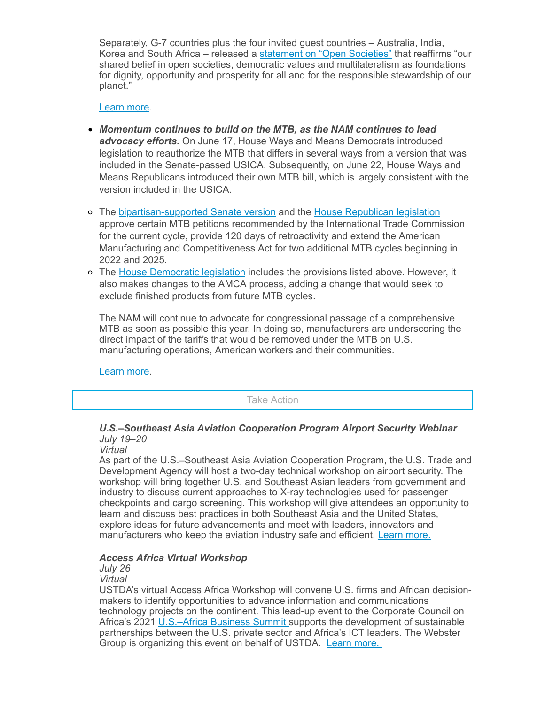Separately, G-7 countries plus the four invited guest countries – Australia, India, Korea and South Africa – released a [statement](https://click.email.nam.org/?qs=038c87e2a291dad94dddd0d95aeae4795eeb103cc7d1ef37741c8b496e4ba599461c3b02a59e2ea826f615789298bf4ed64e9406ecc0c9b076f142c66a20dd7d) on "Open Societies" that reaffirms "our shared belief in open societies, democratic values and multilateralism as foundations for dignity, opportunity and prosperity for all and for the responsible stewardship of our planet."

#### [Learn](mailto:msierra@nam.org;rong@nam.org;aaafedt@nam.org;kmonahan@nam.org?subject=G7%20Summit) more.

- *Momentum continues to build on the MTB, as the NAM continues to lead advocacy efforts.* On June 17, House Ways and Means Democrats introduced legislation to reauthorize the MTB that differs in several ways from a version that was included in the Senate-passed USICA. Subsequently, on June 22, House Ways and Means Republicans introduced their own MTB bill, which is largely consistent with the version included in the USICA.
- The [bipartisan-supported](https://click.email.nam.org/?qs=038c87e2a291dad9e3b840f0cf0f07c5f464990fe3a680b63b60b6a704c42aba67d50072fbbd2b5a4a00c585c9ddfad023a8096e503c6229a1210a34f5292625) Senate version and the House [Republican](https://click.email.nam.org/?qs=038c87e2a291dad9282653be539ce9009696bf53ec50349a4183b138cc2052efc3bbb07bfe85ca4616fa97cc3b671d040472c555117ca8c7d8d6df2a9834dba1) legislation approve certain MTB petitions recommended by the International Trade Commission for the current cycle, provide 120 days of retroactivity and extend the American Manufacturing and Competitiveness Act for two additional MTB cycles beginning in 2022 and 2025.
- The House [Democratic](https://click.email.nam.org/?qs=038c87e2a291dad917880d5803f501968d461a87be10688d20e29b1bd073a90d1d17b3099083703623d55908c5c63cd926b22d0650f191f9eb20b09ccdcb2890) legislation includes the provisions listed above. However, it also makes changes to the AMCA process, adding a change that would seek to exclude finished products from future MTB cycles.

The NAM will continue to advocate for congressional passage of a comprehensive MTB as soon as possible this year. In doing so, manufacturers are underscoring the direct impact of the tariffs that would be removed under the MTB on U.S. manufacturing operations, American workers and their communities.

[Learn](mailto:aaafedt@nam.org?subject=Miscellaneous%20Tariff%20Bill) more.

Take Action

## *U.S.–Southeast Asia Aviation Cooperation Program Airport Security Webinar July 19–20*

*Virtual*

As part of the U.S.–Southeast Asia Aviation Cooperation Program, the U.S. Trade and Development Agency will host a two-day technical workshop on airport security. The workshop will bring together U.S. and Southeast Asian leaders from government and industry to discuss current approaches to X-ray technologies used for passenger checkpoints and cargo screening. This workshop will give attendees an opportunity to learn and discuss best practices in both Southeast Asia and the United States, explore ideas for future advancements and meet with leaders, innovators and manufacturers who keep the aviation industry safe and efficient. Learn [more.](https://click.email.nam.org/?qs=038c87e2a291dad987f202e1aebb66db1d3cb53b1aa6de9c64bc481fb84dfb84f6096dcbbfc00ac187f6445fe7ab337f651eaaab11df9b0941b80692a7803c44)

### *Access Africa Virtual Workshop*

## *July 26*

*Virtual*

USTDA's virtual Access Africa Workshop will convene U.S. firms and African decisionmakers to identify opportunities to advance information and communications technology projects on the continent. This lead-up event to the Corporate Council on Africa's 2021 [U.S.–Africa](https://click.email.nam.org/?qs=038c87e2a291dad9d9a9bc5de911d9a32627646e25e3330817ff958b113ba2c6fea8a54aaf8dc8437d97b924c3e4c4fce83e33ed3f10d40b213682fc2d66c111) Business Summit supports the development of sustainable partnerships between the U.S. private sector and Africa's ICT leaders. The Webster Group is organizing this event on behalf of USTDA. Learn [more.](https://click.email.nam.org/?qs=038c87e2a291dad910916651a7fc2ebacd8f120265d04a7e559e3e096d1a33fd46b02955e4adbc0e29cda08a87cc5f06ba6c531530bb4f586b3514d302785f9d)